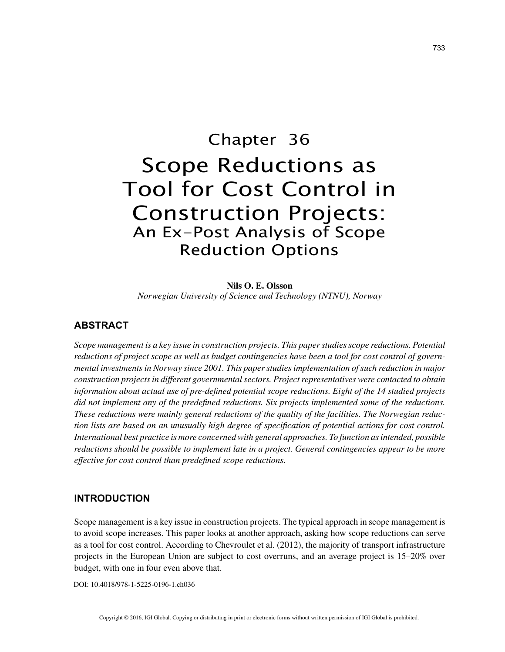# Chapter 36 Scope Reductions as Tool for Cost Control in Construction Projects: An Ex-Post Analysis of Scope Reduction Options

**Nils O. E. Olsson** *Norwegian University of Science and Technology (NTNU), Norway*

# **ABSTRACT**

*Scope management is a key issue in construction projects. This paper studies scope reductions. Potential reductions of project scope as well as budget contingencies have been a tool for cost control of governmental investments in Norway since 2001. This paper studies implementation of such reduction in major construction projects in different governmental sectors. Project representatives were contacted to obtain information about actual use of pre-defined potential scope reductions. Eight of the 14 studied projects did not implement any of the predefined reductions. Six projects implemented some of the reductions. These reductions were mainly general reductions of the quality of the facilities. The Norwegian reduction lists are based on an unusually high degree of specification of potential actions for cost control. International best practice is more concerned with general approaches. To function as intended, possible reductions should be possible to implement late in a project. General contingencies appear to be more effective for cost control than predefined scope reductions.*

## **INTRODUCTION**

Scope management is a key issue in construction projects. The typical approach in scope management is to avoid scope increases. This paper looks at another approach, asking how scope reductions can serve as a tool for cost control. According to Chevroulet et al. (2012), the majority of transport infrastructure projects in the European Union are subject to cost overruns, and an average project is 15–20% over budget, with one in four even above that.

DOI: 10.4018/978-1-5225-0196-1.ch036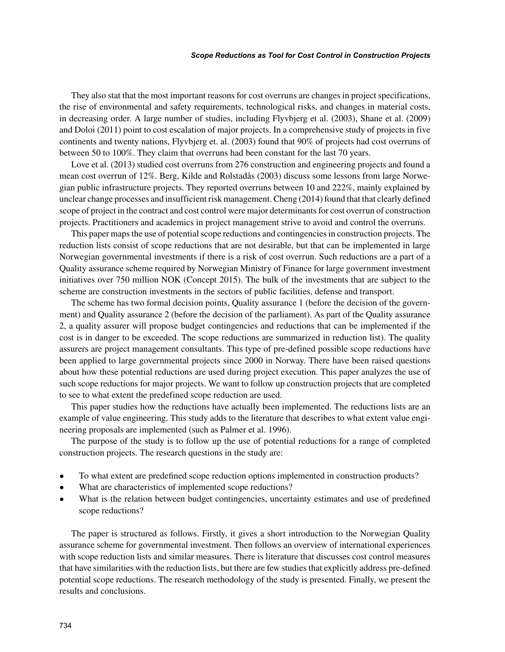#### *Scope Reductions as Tool for Cost Control in Construction Projects*

They also stat that the most important reasons for cost overruns are changes in project specifications, the rise of environmental and safety requirements, technological risks, and changes in material costs, in decreasing order. A large number of studies, including Flyvbjerg et al. (2003), Shane et al. (2009) and Doloi (2011) point to cost escalation of major projects. In a comprehensive study of projects in five continents and twenty nations, Flyvbjerg et. al. (2003) found that 90% of projects had cost overruns of between 50 to 100%. They claim that overruns had been constant for the last 70 years.

Love et al. (2013) studied cost overruns from 276 construction and engineering projects and found a mean cost overrun of 12%. Berg, Kilde and Rolstadås (2003) discuss some lessons from large Norwegian public infrastructure projects. They reported overruns between 10 and 222%, mainly explained by unclear change processes and insufficient risk management. Cheng (2014) found that that clearly defined scope of project in the contract and cost control were major determinants for cost overrun of construction projects. Practitioners and academics in project management strive to avoid and control the overruns.

This paper maps the use of potential scope reductions and contingencies in construction projects. The reduction lists consist of scope reductions that are not desirable, but that can be implemented in large Norwegian governmental investments if there is a risk of cost overrun. Such reductions are a part of a Quality assurance scheme required by Norwegian Ministry of Finance for large government investment initiatives over 750 million NOK (Concept 2015). The bulk of the investments that are subject to the scheme are construction investments in the sectors of public facilities, defense and transport.

The scheme has two formal decision points, Quality assurance 1 (before the decision of the government) and Quality assurance 2 (before the decision of the parliament). As part of the Quality assurance 2, a quality assurer will propose budget contingencies and reductions that can be implemented if the cost is in danger to be exceeded. The scope reductions are summarized in reduction list). The quality assurers are project management consultants. This type of pre-defined possible scope reductions have been applied to large governmental projects since 2000 in Norway. There have been raised questions about how these potential reductions are used during project execution. This paper analyzes the use of such scope reductions for major projects. We want to follow up construction projects that are completed to see to what extent the predefined scope reduction are used.

This paper studies how the reductions have actually been implemented. The reductions lists are an example of value engineering. This study adds to the literature that describes to what extent value engineering proposals are implemented (such as Palmer et al. 1996).

The purpose of the study is to follow up the use of potential reductions for a range of completed construction projects. The research questions in the study are:

- To what extent are predefined scope reduction options implemented in construction products?
- What are characteristics of implemented scope reductions?
- What is the relation between budget contingencies, uncertainty estimates and use of predefined scope reductions?

The paper is structured as follows. Firstly, it gives a short introduction to the Norwegian Quality assurance scheme for governmental investment. Then follows an overview of international experiences with scope reduction lists and similar measures. There is literature that discusses cost control measures that have similarities with the reduction lists, but there are few studies that explicitly address pre-defined potential scope reductions. The research methodology of the study is presented. Finally, we present the results and conclusions.